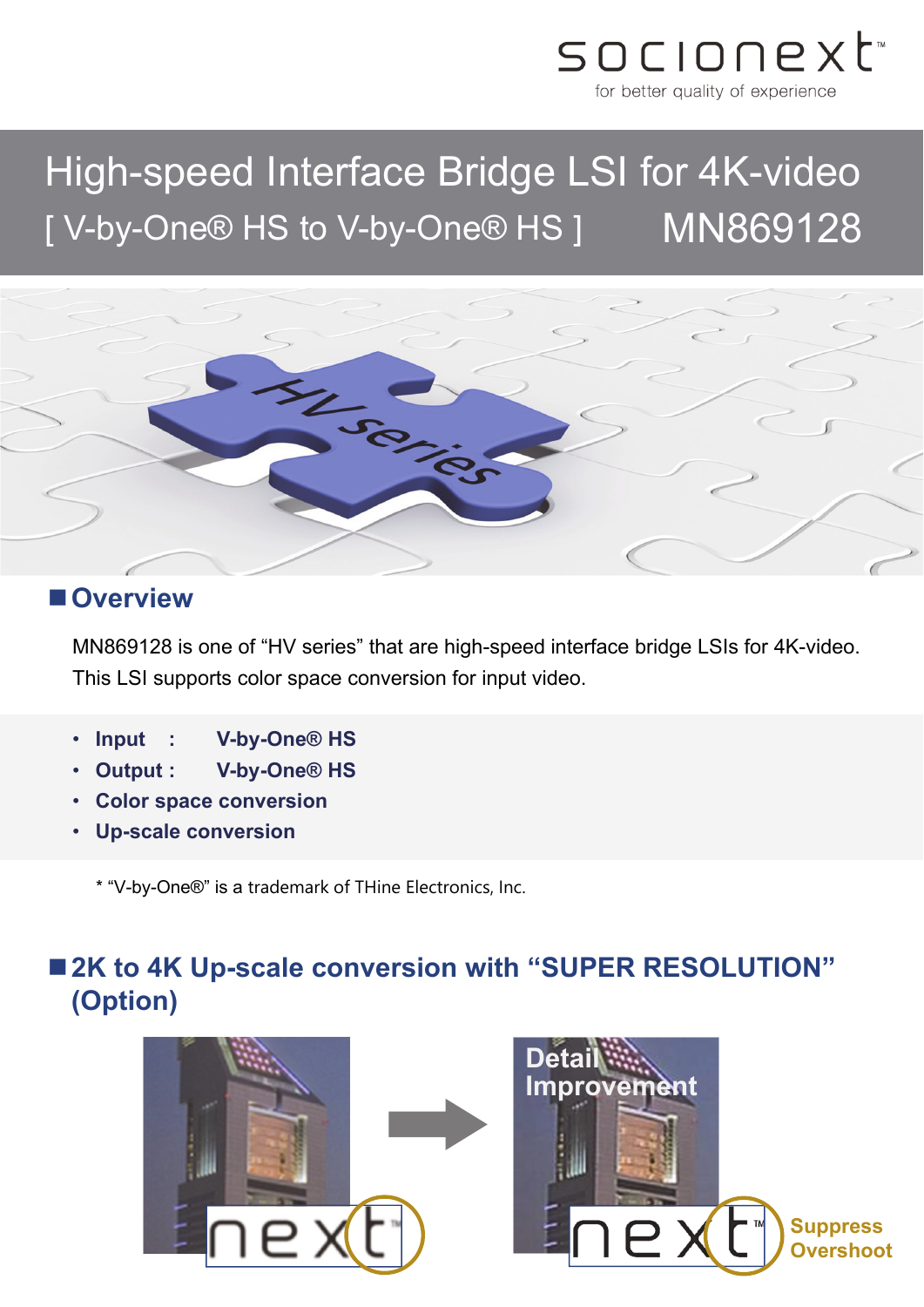

# High-speed Interface Bridge LSI for 4K-video [ V-by-One® HS to V-by-One® HS ] MN869128



#### **Overview**

MN869128 is one of "HV series" that are high-speed interface bridge LSIs for 4K-video. This LSI supports color space conversion for input video.

- **Input : V-by-One® HS**
- **Output : V-by-One® HS**
- **Color space conversion**
- **Up-scale conversion**

\* "V-by-One®" is a trademark of THine Electronics, Inc.

## ■ 2K to 4K Up-scale conversion with "SUPER RESOLUTION" **(Option)**